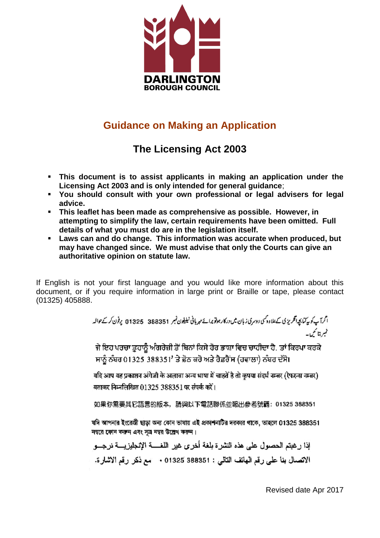

# **Guidance on Making an Application**

# **The Licensing Act 2003**

- **This document is to assist applicants in making an application under the Licensing Act 2003 and is only intended for general guidance**;
- **You should consult with your own professional or legal advisers for legal advice.**
- **This leaflet has been made as comprehensive as possible. However, in attempting to simplify the law, certain requirements have been omitted. Full details of what you must do are in the legislation itself.**
- **Laws can and do change. This information was accurate when produced, but may have changed since. We must advise that only the Courts can give an authoritative opinion on statute law.**

If English is not your first language and you would like more information about this document, or if you require information in large print or Braille or tape, please contact (01325) 405888.

ا گرآپ کو پیکناپچە انگریز کی کےعلاوہ کسی دوسری زبان میں درکار ہوتو پرانے میریانی نیلیفون نمبر 388351 عام 11325 پوفون کر کے حوالہ عميرةتا تحلمات

ਜੇ ਇਹ ਪਰਚਾ ਤੁਹਾਨੂੰ ਅੰਗਰੇਜ਼ੀ ਤੋਂ ਬਿਨਾਂ ਕਿਸੇ ਹੋਰ ਭਾਸ਼ਾ ਵਿਚ ਚਾਹੀਦਾ ਹੈ, ਤਾਂ ਕਿਰਪਾ ਕਰਕੇ ਸਾਨੂੰ ਨੰਬਰ 01325 388351' ਤੇ ਫ਼ੋਨ ਕਰੋ ਅਤੇ ਰੈਫ਼ਰੈਂਸ (ਹਵਾਲਾ) ਨੰਬਰ ਦੱਸੋ।

यदि आप यह प्रकाशन अंगेज़ी के अलावा अन्य भाषा में चाहतें है तो कुपया संदर्भ नम्बर (रेफरन्स नम्बर) बताकर निम्नलिखित 01325 388351 पर संपर्क करें।

如果你需要其它語言的版本,請與以下電話聯係並報出參考號碼:01325 388351.

যদি আপনার ইংরেজী ছাড়া অন্য কোন ভাষায় এই প্রকাশনাটির দরকার থাকে, ভাহলে 01325 388351 নম্বরে ফোন করুন এবং সূত্র নম্বর উল্লেখ করুন।

إذا رغبتم الحصول على هذه النشر ة بلغة أخرى غير اللغسة الإنجليزيسة نرجسو الاتصال بنا على رقع الهاتف التالي : 01325 388351 + "مع ذكر رقع الاشارة.

Revised date Apr 2017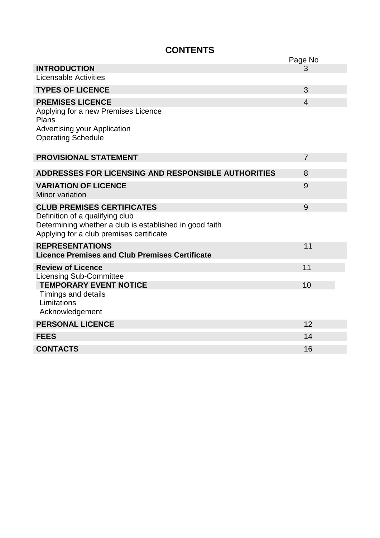## **CONTENTS**

|                                                                                                                                        | Page No        |
|----------------------------------------------------------------------------------------------------------------------------------------|----------------|
| <b>INTRODUCTION</b>                                                                                                                    | 3              |
| <b>Licensable Activities</b>                                                                                                           |                |
| <b>TYPES OF LICENCE</b>                                                                                                                | 3              |
| <b>PREMISES LICENCE</b>                                                                                                                | $\overline{4}$ |
| Applying for a new Premises Licence<br>Plans                                                                                           |                |
| <b>Advertising your Application</b><br><b>Operating Schedule</b>                                                                       |                |
| <b>PROVISIONAL STATEMENT</b>                                                                                                           | $\overline{7}$ |
| <b>ADDRESSES FOR LICENSING AND RESPONSIBLE AUTHORITIES</b>                                                                             | 8              |
| <b>VARIATION OF LICENCE</b><br>Minor variation                                                                                         | 9              |
| <b>CLUB PREMISES CERTIFICATES</b>                                                                                                      | 9              |
| Definition of a qualifying club<br>Determining whether a club is established in good faith<br>Applying for a club premises certificate |                |
| <b>REPRESENTATIONS</b><br><b>Licence Premises and Club Premises Certificate</b>                                                        | 11             |
| <b>Review of Licence</b>                                                                                                               | 11             |
| <b>Licensing Sub-Committee</b><br><b>TEMPORARY EVENT NOTICE</b>                                                                        | 10             |
| Timings and details<br>Limitations<br>Acknowledgement                                                                                  |                |
| <b>PERSONAL LICENCE</b>                                                                                                                | 12             |
| <b>FEES</b>                                                                                                                            | 14             |
| <b>CONTACTS</b>                                                                                                                        | 16             |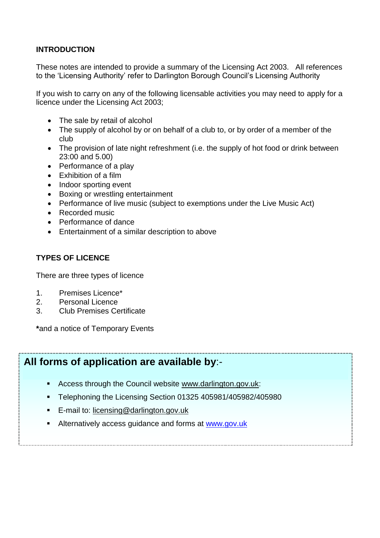## **INTRODUCTION**

These notes are intended to provide a summary of the Licensing Act 2003. All references to the 'Licensing Authority' refer to Darlington Borough Council's Licensing Authority

If you wish to carry on any of the following licensable activities you may need to apply for a licence under the Licensing Act 2003;

- The sale by retail of alcohol
- The supply of alcohol by or on behalf of a club to, or by order of a member of the club
- The provision of late night refreshment (i.e. the supply of hot food or drink between 23:00 and 5.00)
- Performance of a play
- Exhibition of a film
- Indoor sporting event
- Boxing or wrestling entertainment
- Performance of live music (subject to exemptions under the Live Music Act)
- Recorded music
- Performance of dance
- Entertainment of a similar description to above

### **TYPES OF LICENCE**

There are three types of licence

- 1. Premises Licence\*
- 2. Personal Licence
- 3. Club Premises Certificate

**\***and a notice of Temporary Events

## **All forms of application are available by**:-

- Access through the Council website [www.darlington.gov.uk:](http://www.darlington.gov.uk/)
- Telephoning the Licensing Section 01325 405981/405982/405980
- **E-mail to: [licensing@darlington.gov.uk](mailto:licensing@darlington.gov.uk)**
- Alternatively access guidance and forms at [www.gov.uk](http://www.gov.uk/)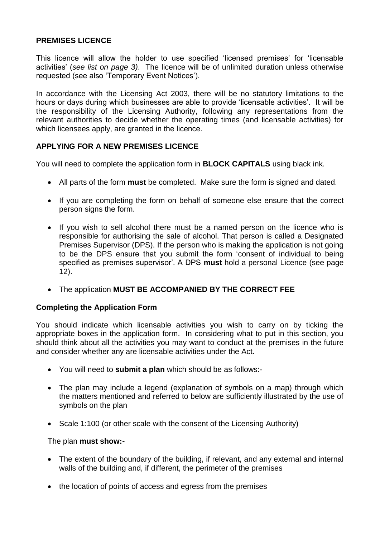## **PREMISES LICENCE**

This licence will allow the holder to use specified 'licensed premises' for 'licensable activities' (*see list on page 3)*. The licence will be of unlimited duration unless otherwise requested (see also 'Temporary Event Notices').

In accordance with the Licensing Act 2003, there will be no statutory limitations to the hours or days during which businesses are able to provide 'licensable activities'. It will be the responsibility of the Licensing Authority, following any representations from the relevant authorities to decide whether the operating times (and licensable activities) for which licensees apply, are granted in the licence.

### **APPLYING FOR A NEW PREMISES LICENCE**

You will need to complete the application form in **BLOCK CAPITALS** using black ink.

- All parts of the form **must** be completed. Make sure the form is signed and dated.
- If you are completing the form on behalf of someone else ensure that the correct person signs the form.
- If you wish to sell alcohol there must be a named person on the licence who is responsible for authorising the sale of alcohol. That person is called a Designated Premises Supervisor (DPS). If the person who is making the application is not going to be the DPS ensure that you submit the form 'consent of individual to being specified as premises supervisor'. A DPS **must** hold a personal Licence (see page 12).
- The application **MUST BE ACCOMPANIED BY THE CORRECT FEE**

#### **Completing the Application Form**

You should indicate which licensable activities you wish to carry on by ticking the appropriate boxes in the application form. In considering what to put in this section, you should think about all the activities you may want to conduct at the premises in the future and consider whether any are licensable activities under the Act.

- You will need to **submit a plan** which should be as follows:-
- The plan may include a legend (explanation of symbols on a map) through which the matters mentioned and referred to below are sufficiently illustrated by the use of symbols on the plan
- Scale 1:100 (or other scale with the consent of the Licensing Authority)

#### The plan **must show:-**

- The extent of the boundary of the building, if relevant, and any external and internal walls of the building and, if different, the perimeter of the premises
- the location of points of access and egress from the premises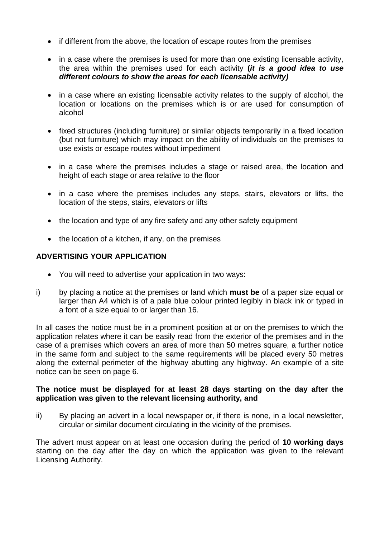- if different from the above, the location of escape routes from the premises
- in a case where the premises is used for more than one existing licensable activity, the area within the premises used for each activity **(***it is a good idea to use different colours to show the areas for each licensable activity)*
- in a case where an existing licensable activity relates to the supply of alcohol, the location or locations on the premises which is or are used for consumption of alcohol
- fixed structures (including furniture) or similar objects temporarily in a fixed location (but not furniture) which may impact on the ability of individuals on the premises to use exists or escape routes without impediment
- in a case where the premises includes a stage or raised area, the location and height of each stage or area relative to the floor
- in a case where the premises includes any steps, stairs, elevators or lifts, the location of the steps, stairs, elevators or lifts
- the location and type of any fire safety and any other safety equipment
- $\bullet$  the location of a kitchen, if any, on the premises

### **ADVERTISING YOUR APPLICATION**

- You will need to advertise your application in two ways:
- i) by placing a notice at the premises or land which **must be** of a paper size equal or larger than A4 which is of a pale blue colour printed legibly in black ink or typed in a font of a size equal to or larger than 16.

In all cases the notice must be in a prominent position at or on the premises to which the application relates where it can be easily read from the exterior of the premises and in the case of a premises which covers an area of more than 50 metres square, a further notice in the same form and subject to the same requirements will be placed every 50 metres along the external perimeter of the highway abutting any highway. An example of a site notice can be seen on page 6.

#### **The notice must be displayed for at least 28 days starting on the day after the application was given to the relevant licensing authority, and**

ii) By placing an advert in a local newspaper or, if there is none, in a local newsletter, circular or similar document circulating in the vicinity of the premises.

The advert must appear on at least one occasion during the period of **10 working days** starting on the day after the day on which the application was given to the relevant Licensing Authority.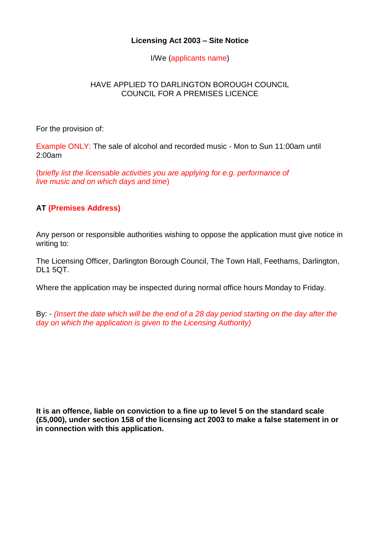## **Licensing Act 2003 – Site Notice**

I/We (applicants name)

## HAVE APPLIED TO DARLINGTON BOROUGH COUNCIL COUNCIL FOR A PREMISES LICENCE

For the provision of:

Example ONLY: The sale of alcohol and recorded music - Mon to Sun 11:00am until 2:00am

(b*riefly list the licensable activities you are applying for e.g. performance of live music and on which days and time*)

## **AT (Premises Address)**

Any person or responsible authorities wishing to oppose the application must give notice in writing to:

The Licensing Officer, Darlington Borough Council, The Town Hall, Feethams, Darlington, DL1 5QT.

Where the application may be inspected during normal office hours Monday to Friday.

By: - *(Insert the date which will be the end of a 28 day period starting on the day after the day on which the application is given to the Licensing Authority)*

**It is an offence, liable on conviction to a fine up to level 5 on the standard scale (£5,000), under section 158 of the licensing act 2003 to make a false statement in or in connection with this application.**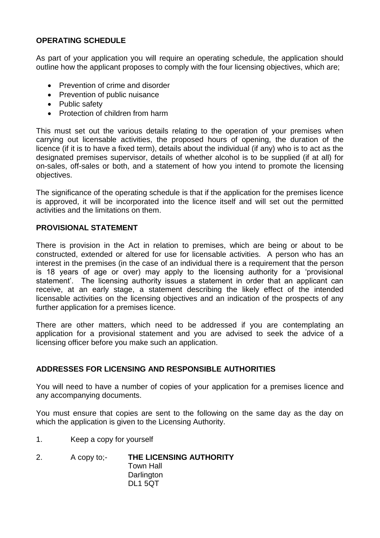## **OPERATING SCHEDULE**

As part of your application you will require an operating schedule, the application should outline how the applicant proposes to comply with the four licensing objectives, which are;

- Prevention of crime and disorder
- Prevention of public nuisance
- Public safety
- Protection of children from harm

This must set out the various details relating to the operation of your premises when carrying out licensable activities, the proposed hours of opening, the duration of the licence (if it is to have a fixed term), details about the individual (if any) who is to act as the designated premises supervisor, details of whether alcohol is to be supplied (if at all) for on-sales, off-sales or both, and a statement of how you intend to promote the licensing objectives.

The significance of the operating schedule is that if the application for the premises licence is approved, it will be incorporated into the licence itself and will set out the permitted activities and the limitations on them.

#### **PROVISIONAL STATEMENT**

There is provision in the Act in relation to premises, which are being or about to be constructed, extended or altered for use for licensable activities. A person who has an interest in the premises (in the case of an individual there is a requirement that the person is 18 years of age or over) may apply to the licensing authority for a 'provisional statement'. The licensing authority issues a statement in order that an applicant can receive, at an early stage, a statement describing the likely effect of the intended licensable activities on the licensing objectives and an indication of the prospects of any further application for a premises licence.

There are other matters, which need to be addressed if you are contemplating an application for a provisional statement and you are advised to seek the advice of a licensing officer before you make such an application.

## **ADDRESSES FOR LICENSING AND RESPONSIBLE AUTHORITIES**

You will need to have a number of copies of your application for a premises licence and any accompanying documents.

You must ensure that copies are sent to the following on the same day as the day on which the application is given to the Licensing Authority.

- 1. Keep a copy for yourself
- 2. A copy to;- **THE LICENSING AUTHORITY** Town Hall **Darlington** DL1 5QT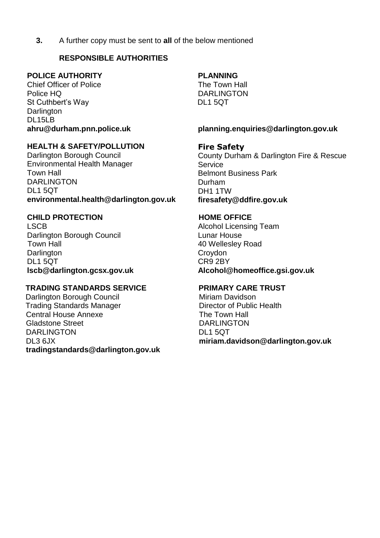**3.** A further copy must be sent to **all** of the below mentioned

## **RESPONSIBLE AUTHORITIES**

### **POLICE AUTHORITY**

Chief Officer of Police Police HQ St Cuthbert's Way **Darlington** DL15LB **ahru@durham.pnn.police.uk**

## **HEALTH & SAFETY/POLLUTION**

Darlington Borough Council Environmental Health Manager Town Hall DARI INGTON DL1 5QT **environmental.health@darlington.gov.uk**

## **CHILD PROTECTION**

LSCB Darlington Borough Council Town Hall **Darlington** DL1 5QT **lscb@darlington.gcsx.gov.uk**

## **TRADING STANDARDS SERVICE**

Darlington Borough Council Trading Standards Manager Central House Annexe Gladstone Street DARLINGTON DL3 6JX **tradingstandards@darlington.gov.uk**

## **PLANNING**

The Town Hall DARLINGTON DL1 5QT

#### **planning.enquiries@darlington.gov.uk**

### **Fire Safety**

County Durham & Darlington Fire & Rescue Service Belmont Business Park Durham DH1 1TW **firesafety@ddfire.gov.uk**

#### **HOME OFFICE**

Alcohol Licensing Team Lunar House 40 Wellesley Road Croydon CR9 2BY **Alcohol@homeoffice.gsi.gov.uk**

#### **PRIMARY CARE TRUST**

Miriam Davidson Director of Public Health The Town Hall DARLINGTON DL1 5QT **miriam.davidson@darlington.gov.uk**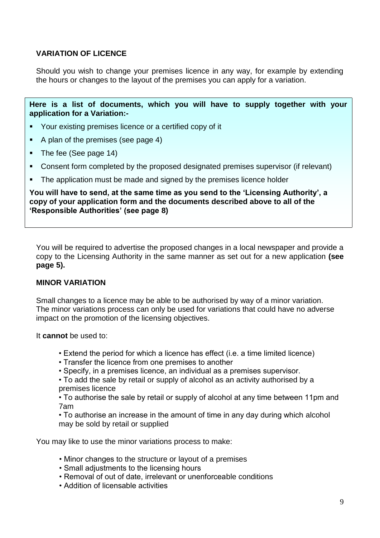## **VARIATION OF LICENCE**

Should you wish to change your premises licence in any way, for example by extending the hours or changes to the layout of the premises you can apply for a variation.

**Here is a list of documents, which you will have to supply together with your application for a Variation:-**

- Your existing premises licence or a certified copy of it
- A plan of the premises (see page 4)
- The fee (See page 14)
- Consent form completed by the proposed designated premises supervisor (if relevant)
- The application must be made and signed by the premises licence holder

**You will have to send, at the same time as you send to the 'Licensing Authority', a copy of your application form and the documents described above to all of the 'Responsible Authorities' (see page 8)**

You will be required to advertise the proposed changes in a local newspaper and provide a copy to the Licensing Authority in the same manner as set out for a new application **(see page 5).**

## **MINOR VARIATION**

Small changes to a licence may be able to be authorised by way of a minor variation. The minor variations process can only be used for variations that could have no adverse impact on the promotion of the licensing objectives.

It **cannot** be used to:

- Extend the period for which a licence has effect (i.e. a time limited licence)
- Transfer the licence from one premises to another
- Specify, in a premises licence, an individual as a premises supervisor.
- To add the sale by retail or supply of alcohol as an activity authorised by a premises licence

• To authorise the sale by retail or supply of alcohol at any time between 11pm and 7am

• To authorise an increase in the amount of time in any day during which alcohol may be sold by retail or supplied

You may like to use the minor variations process to make:

- Minor changes to the structure or layout of a premises
- Small adjustments to the licensing hours
- Removal of out of date, irrelevant or unenforceable conditions
- Addition of licensable activities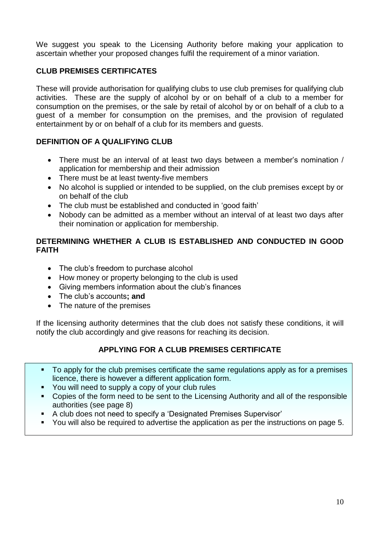We suggest you speak to the Licensing Authority before making your application to ascertain whether your proposed changes fulfil the requirement of a minor variation.

## **CLUB PREMISES CERTIFICATES**

These will provide authorisation for qualifying clubs to use club premises for qualifying club activities. These are the supply of alcohol by or on behalf of a club to a member for consumption on the premises, or the sale by retail of alcohol by or on behalf of a club to a guest of a member for consumption on the premises, and the provision of regulated entertainment by or on behalf of a club for its members and guests.

## **DEFINITION OF A QUALIFYING CLUB**

- There must be an interval of at least two days between a member's nomination / application for membership and their admission
- There must be at least twenty-five members
- No alcohol is supplied or intended to be supplied, on the club premises except by or on behalf of the club
- The club must be established and conducted in 'good faith'
- Nobody can be admitted as a member without an interval of at least two days after their nomination or application for membership.

## **DETERMINING WHETHER A CLUB IS ESTABLISHED AND CONDUCTED IN GOOD FAITH**

- The club's freedom to purchase alcohol
- How money or property belonging to the club is used
- Giving members information about the club's finances
- The club's accounts**; and**
- The nature of the premises

If the licensing authority determines that the club does not satisfy these conditions, it will notify the club accordingly and give reasons for reaching its decision.

## **APPLYING FOR A CLUB PREMISES CERTIFICATE**

- To apply for the club premises certificate the same regulations apply as for a premises licence, there is however a different application form.
- You will need to supply a copy of your club rules
- Copies of the form need to be sent to the Licensing Authority and all of the responsible authorities (see page 8)
- A club does not need to specify a 'Designated Premises Supervisor'
- You will also be required to advertise the application as per the instructions on page 5.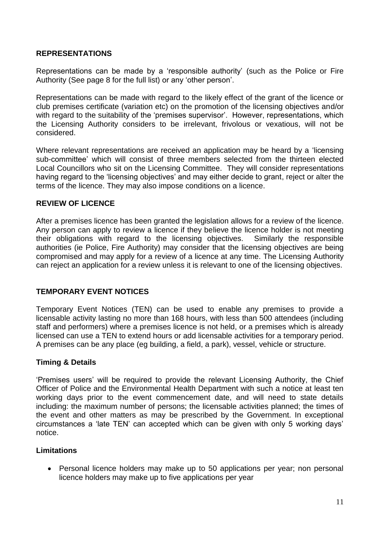#### **REPRESENTATIONS**

Representations can be made by a 'responsible authority' (such as the Police or Fire Authority (See page 8 for the full list) or any 'other person'.

Representations can be made with regard to the likely effect of the grant of the licence or club premises certificate (variation etc) on the promotion of the licensing objectives and/or with regard to the suitability of the 'premises supervisor'. However, representations, which the Licensing Authority considers to be irrelevant, frivolous or vexatious, will not be considered.

Where relevant representations are received an application may be heard by a 'licensing sub-committee' which will consist of three members selected from the thirteen elected Local Councillors who sit on the Licensing Committee. They will consider representations having regard to the 'licensing objectives' and may either decide to grant, reject or alter the terms of the licence. They may also impose conditions on a licence.

#### **REVIEW OF LICENCE**

After a premises licence has been granted the legislation allows for a review of the licence. Any person can apply to review a licence if they believe the licence holder is not meeting their obligations with regard to the licensing objectives. Similarly the responsible authorities (ie Police, Fire Authority) may consider that the licensing objectives are being compromised and may apply for a review of a licence at any time. The Licensing Authority can reject an application for a review unless it is relevant to one of the licensing objectives.

## **TEMPORARY EVENT NOTICES**

Temporary Event Notices (TEN) can be used to enable any premises to provide a licensable activity lasting no more than 168 hours, with less than 500 attendees (including staff and performers) where a premises licence is not held, or a premises which is already licensed can use a TEN to extend hours or add licensable activities for a temporary period. A premises can be any place (eg building, a field, a park), vessel, vehicle or structure.

## **Timing & Details**

'Premises users' will be required to provide the relevant Licensing Authority, the Chief Officer of Police and the Environmental Health Department with such a notice at least ten working days prior to the event commencement date, and will need to state details including: the maximum number of persons; the licensable activities planned; the times of the event and other matters as may be prescribed by the Government. In exceptional circumstances a 'late TEN' can accepted which can be given with only 5 working days' notice.

## **Limitations**

 Personal licence holders may make up to 50 applications per year; non personal licence holders may make up to five applications per year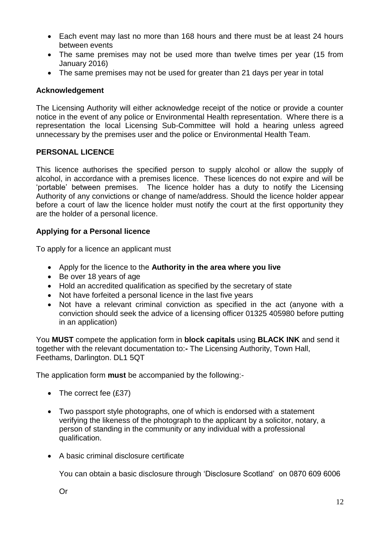- Each event may last no more than 168 hours and there must be at least 24 hours between events
- The same premises may not be used more than twelve times per year (15 from January 2016)
- The same premises may not be used for greater than 21 days per year in total

#### **Acknowledgement**

The Licensing Authority will either acknowledge receipt of the notice or provide a counter notice in the event of any police or Environmental Health representation. Where there is a representation the local Licensing Sub-Committee will hold a hearing unless agreed unnecessary by the premises user and the police or Environmental Health Team.

## **PERSONAL LICENCE**

This licence authorises the specified person to supply alcohol or allow the supply of alcohol, in accordance with a premises licence. These licences do not expire and will be 'portable' between premises. The licence holder has a duty to notify the Licensing Authority of any convictions or change of name/address. Should the licence holder appear before a court of law the licence holder must notify the court at the first opportunity they are the holder of a personal licence.

### **Applying for a Personal licence**

To apply for a licence an applicant must

- Apply for the licence to the **Authority in the area where you live**
- Be over 18 years of age
- Hold an accredited qualification as specified by the secretary of state
- Not have forfeited a personal licence in the last five years
- Not have a relevant criminal conviction as specified in the act (anyone with a conviction should seek the advice of a licensing officer 01325 405980 before putting in an application)

You **MUST** compete the application form in **block capitals** using **BLACK INK** and send it together with the relevant documentation to:**-** The Licensing Authority, Town Hall, Feethams, Darlington. DL1 5QT

The application form **must** be accompanied by the following:-

- The correct fee  $(E37)$
- Two passport style photographs, one of which is endorsed with a statement verifying the likeness of the photograph to the applicant by a solicitor, notary, a person of standing in the community or any individual with a professional qualification.
- A basic criminal disclosure certificate

You can obtain a basic disclosure through 'Disclosure Scotland' on 0870 609 6006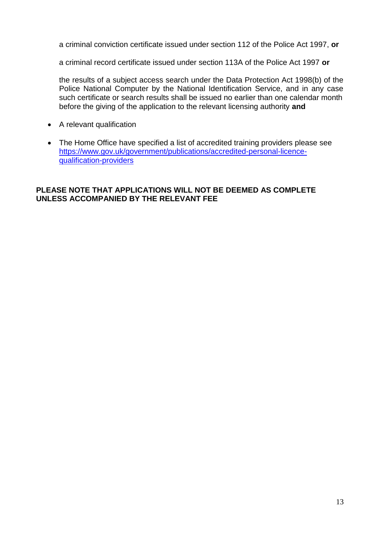a criminal conviction certificate issued under section 112 of the Police Act 1997, **or**

a criminal record certificate issued under section 113A of the Police Act 1997 **or**

the results of a subject access search under the Data Protection Act 1998(b) of the Police National Computer by the National Identification Service, and in any case such certificate or search results shall be issued no earlier than one calendar month before the giving of the application to the relevant licensing authority **and**

- A relevant qualification
- The Home Office have specified a list of accredited training providers please see [https://www.gov.uk/government/publications/accredited-personal-licence](https://www.gov.uk/government/publications/accredited-personal-licence-qualification-providers)[qualification-providers](https://www.gov.uk/government/publications/accredited-personal-licence-qualification-providers)

## **PLEASE NOTE THAT APPLICATIONS WILL NOT BE DEEMED AS COMPLETE UNLESS ACCOMPANIED BY THE RELEVANT FEE**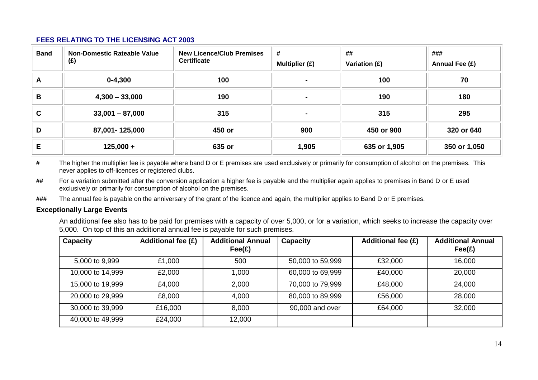#### **FEES RELATING TO THE LICENSING ACT 2003**

| <b>Band</b> | Non-Domestic Rateable Value<br>(E) | <b>New Licence/Club Premises</b><br><b>Certificate</b> | #<br>Multiplier $(E)$    | ##<br>Variation (£) | ###<br>Annual Fee (£) |
|-------------|------------------------------------|--------------------------------------------------------|--------------------------|---------------------|-----------------------|
| A           | $0 - 4,300$                        | 100                                                    | $\sim$                   | 100                 | 70                    |
| B           | $4,300 - 33,000$                   | 190                                                    | $\sim$                   | 190                 | 180                   |
| C           | $33,001 - 87,000$                  | 315                                                    | $\overline{\phantom{0}}$ | 315                 | 295                   |
| D           | 87,001-125,000                     | 450 or                                                 | 900                      | 450 or 900          | 320 or 640            |
| Е           | $125,000 +$                        | 635 or                                                 | 1,905                    | 635 or 1,905        | 350 or 1,050          |

**#** The higher the multiplier fee is payable where band D or E premises are used exclusively or primarily for consumption of alcohol on the premises. This never applies to off-licences or registered clubs.

**##** For a variation submitted after the conversion application a higher fee is payable and the multiplier again applies to premises in Band D or E used exclusively or primarily for consumption of alcohol on the premises.

**###** The annual fee is payable on the anniversary of the grant of the licence and again, the multiplier applies to Band D or E premises.

#### **Exceptionally Large Events**

An additional fee also has to be paid for premises with a capacity of over 5,000, or for a variation, which seeks to increase the capacity over 5,000. On top of this an additional annual fee is payable for such premises.

| <b>Capacity</b>  | <b>Additional fee (£)</b> | <b>Additional Annual</b><br>$\mathsf{Fee}(\mathsf{E})$ | <b>Capacity</b>  | <b>Additional fee (£)</b> | <b>Additional Annual</b><br>$\mathsf{Fee}(\mathsf{E})$ |
|------------------|---------------------------|--------------------------------------------------------|------------------|---------------------------|--------------------------------------------------------|
| 5,000 to 9,999   | £1,000                    | 500                                                    | 50,000 to 59,999 | £32,000                   | 16,000                                                 |
| 10,000 to 14,999 | £2,000                    | 1,000                                                  | 60,000 to 69,999 | £40,000                   | 20,000                                                 |
| 15,000 to 19,999 | £4,000                    | 2,000                                                  | 70,000 to 79,999 | £48,000                   | 24,000                                                 |
| 20,000 to 29,999 | £8,000                    | 4,000                                                  | 80,000 to 89,999 | £56,000                   | 28,000                                                 |
| 30,000 to 39,999 | £16,000                   | 8,000                                                  | 90,000 and over  | £64,000                   | 32,000                                                 |
| 40,000 to 49,999 | £24,000                   | 12,000                                                 |                  |                           |                                                        |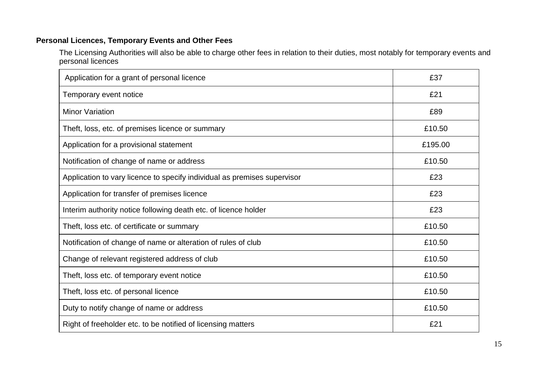## **Personal Licences, Temporary Events and Other Fees**

The Licensing Authorities will also be able to charge other fees in relation to their duties, most notably for temporary events and personal licences

| Application for a grant of personal licence                              | £37     |
|--------------------------------------------------------------------------|---------|
| Temporary event notice                                                   | £21     |
| <b>Minor Variation</b>                                                   | £89     |
| Theft, loss, etc. of premises licence or summary                         | £10.50  |
| Application for a provisional statement                                  | £195.00 |
| Notification of change of name or address                                | £10.50  |
| Application to vary licence to specify individual as premises supervisor | £23     |
| Application for transfer of premises licence                             | £23     |
| Interim authority notice following death etc. of licence holder          | £23     |
| Theft, loss etc. of certificate or summary                               | £10.50  |
| Notification of change of name or alteration of rules of club            | £10.50  |
| Change of relevant registered address of club                            | £10.50  |
| Theft, loss etc. of temporary event notice                               | £10.50  |
| Theft, loss etc. of personal licence                                     | £10.50  |
| Duty to notify change of name or address                                 | £10.50  |
| Right of freeholder etc. to be notified of licensing matters             | £21     |